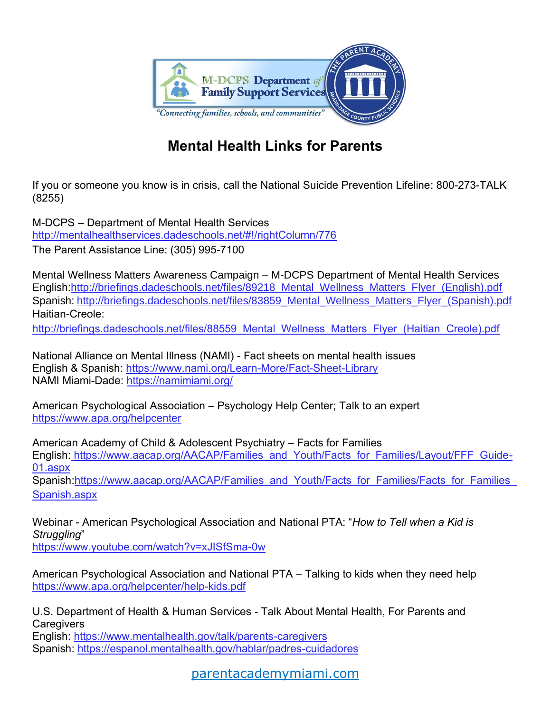

## **Mental Health Links for Parents**

If you or someone you know is in crisis, call the National Suicide Prevention Lifeline: 800-273-TALK (8255)

M-DCPS – Department of Mental Health Services <http://mentalhealthservices.dadeschools.net/#!/rightColumn/776> The Parent Assistance Line: (305) 995-7100

Mental Wellness Matters Awareness Campaign – M-DCPS Department of Mental Health Services English[:http://briefings.dadeschools.net/files/89218\\_Mental\\_Wellness\\_Matters\\_Flyer\\_\(English\).pdf](http://briefings.dadeschools.net/files/89218_Mental_Wellness_Matters_Flyer_(English).pdf) Spanish: http://briefings.dadeschools.net/files/83859 Mental Wellness Matters Flyer (Spanish).pdf Haitian-Creole:

http://briefings.dadeschools.net/files/88559 Mental Wellness Matters Flyer (Haitian Creole).pdf

National Alliance on Mental Illness (NAMI) - Fact sheets on mental health issues English & Spanish: <https://www.nami.org/Learn-More/Fact-Sheet-Library> NAMI Miami-Dade:<https://namimiami.org/>

American Psychological Association – Psychology Help Center; Talk to an expert <https://www.apa.org/helpcenter>

American Academy of Child & Adolescent Psychiatry – Facts for Families English: [https://www.aacap.org/AACAP/Families\\_and\\_Youth/Facts\\_for\\_Families/Layout/FFF\\_Guide-](https://www.aacap.org/AACAP/Families_and_Youth/Facts_for_Families/Layout/FFF_Guide-01.aspx)[01.aspx](https://www.aacap.org/AACAP/Families_and_Youth/Facts_for_Families/Layout/FFF_Guide-01.aspx) Spanish:https://www.aacap.org/AACAP/Families\_and\_Youth/Facts\_for\_Families/Facts\_for\_Families [Spanish.aspx](https://www.aacap.org/AACAP/Families_and_Youth/Facts_for_Families/Facts_for_Families_Spanish.aspx)

Webinar - American Psychological Association and National PTA: "*How to Tell when a Kid is Struggling*"

<https://www.youtube.com/watch?v=xJISfSma-0w>

American Psychological Association and National PTA – Talking to kids when they need help <https://www.apa.org/helpcenter/help-kids.pdf>

U.S. Department of Health & Human Services - Talk About Mental Health, For Parents and **Caregivers** 

English:<https://www.mentalhealth.gov/talk/parents-caregivers> Spanish:<https://espanol.mentalhealth.gov/hablar/padres-cuidadores>

[parentacademymiami.com](https://parentacademymiami.com/)